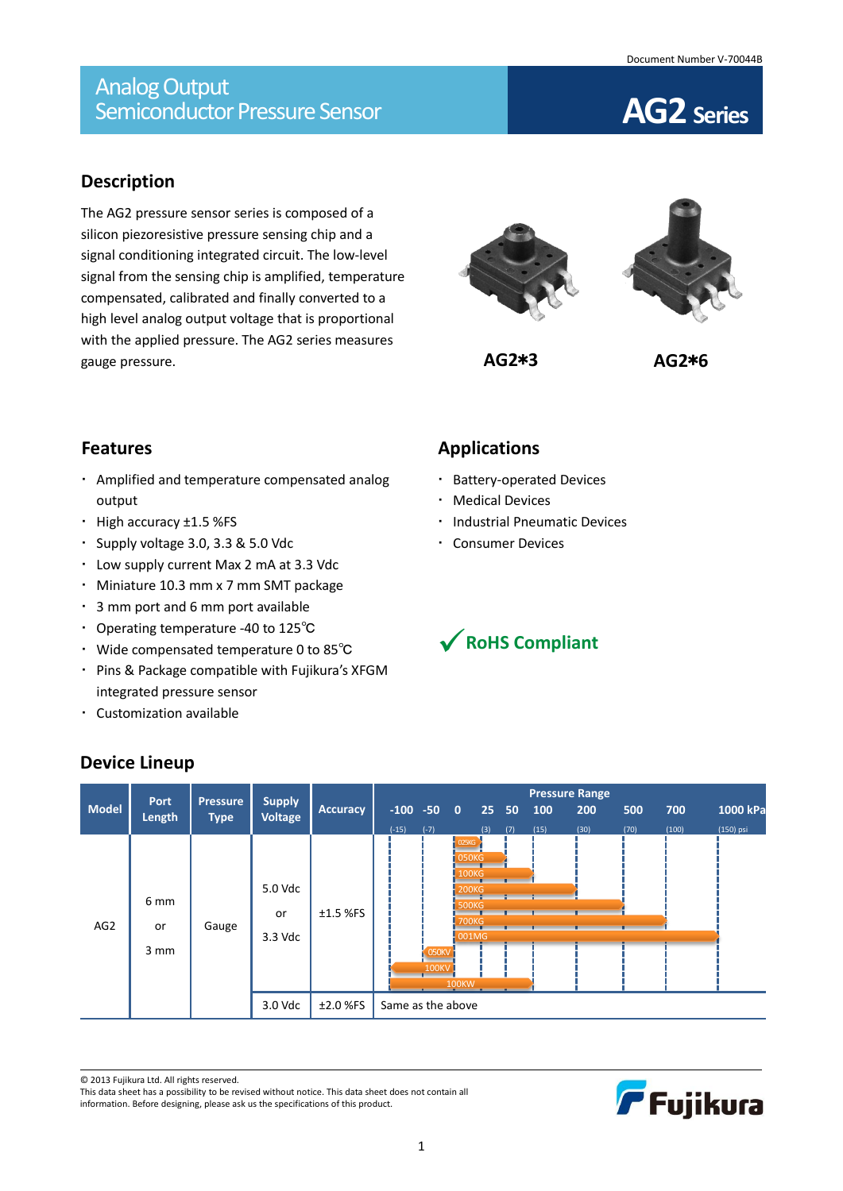## Analog Output Semiconductor Pressure Sensor **AG2Series**

#### **Description**

The AG2 pressure sensor series is composed of a silicon piezoresistive pressure sensing chip and a signal conditioning integrated circuit. The low-level signal from the sensing chip is amplified, temperature compensated, calibrated and finally converted to a high level analog output voltage that is proportional with the applied pressure. The AG2 series measures gauge pressure.



**AG2**\***3 AG2**\***6**

Battery-operated Devices

Industrial Pneumatic Devices

**Applications**

Medical Devices

Consumer Devices

**RoHS Compliant**

#### **Features**

- Amplified and temperature compensated analog output
- High accuracy ±1.5 %FS
- Supply voltage 3.0, 3.3 & 5.0 Vdc
- Low supply current Max 2 mA at 3.3 Vdc
- Miniature 10.3 mm x 7 mm SMT package
- 3 mm port and 6 mm port available
- Operating temperature -40 to 125℃
- Wide compensated temperature 0 to 85℃
- Pins & Package compatible with Fujikura's XFGM integrated pressure sensor
- Customization available

#### **Model Port Length Pressure Type Supply Voltage Accuracy Pressure Range -100 -50 0 25 50 100 200 500 700 1000 kPa** (-15) (-7) (3) (7) (15) (30) (70) (100) (150) psi AG2 6 mm or 3 mm Gauge 5.0 Vdc or 3.3 Vdc ±1.5 %FS 100KW 100KV 050KV 001MG 700KG 500KG 200KG 100KG 025KG

### **Device Lineup**

© 2013 Fujikura Ltd. All rights reserved.

This data sheet has a possibility to be revised without notice. This data sheet does not contain all information. Before designing, please ask us the specifications of this product.



3.0 Vdc  $\parallel$  ±2.0 %FS  $\parallel$  Same as the above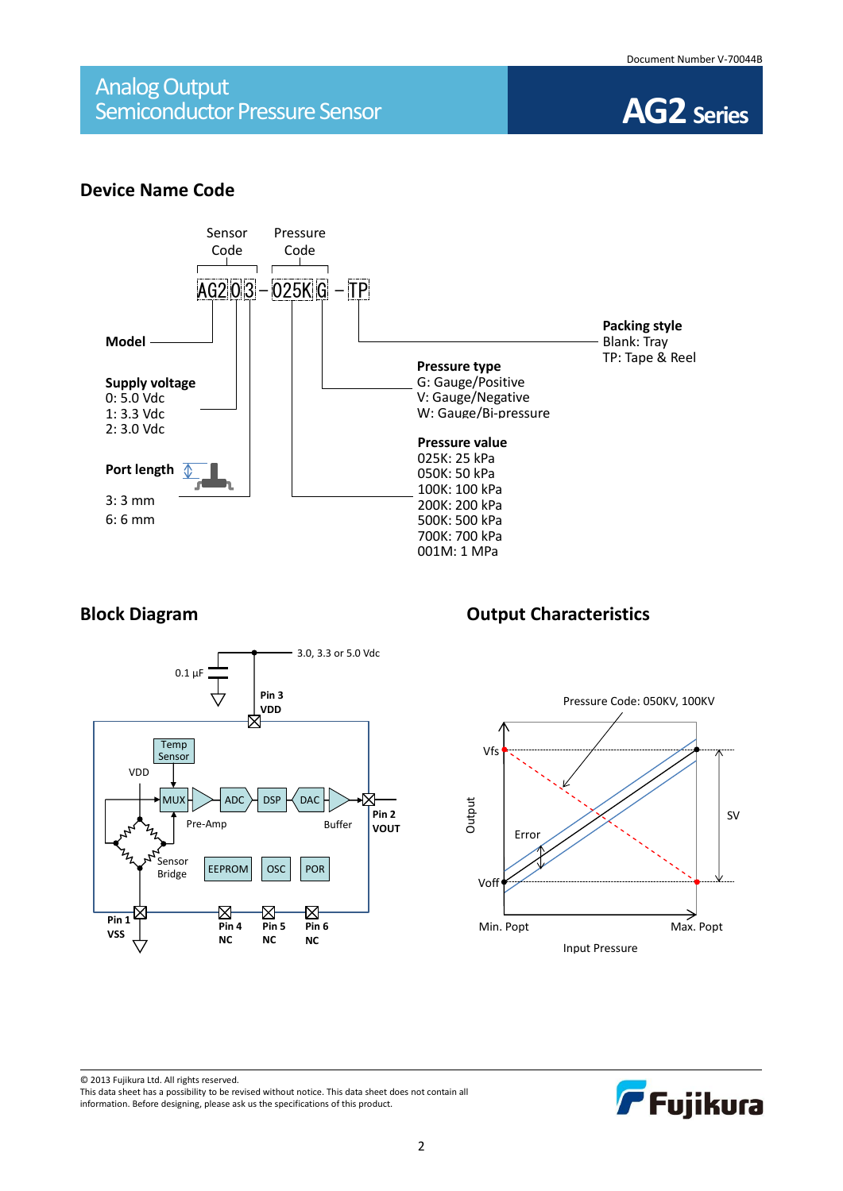## Analog Output Semiconductor Pressure Sensor **AG2Series**



#### **Device Name Code**





#### **Block Diagram Diagram Output Characteristics**



© 2013 Fujikura Ltd. All rights reserved. This data sheet has a possibility to be revised without notice. This data sheet does not contain all information. Before designing, please ask us the specifications of this product.

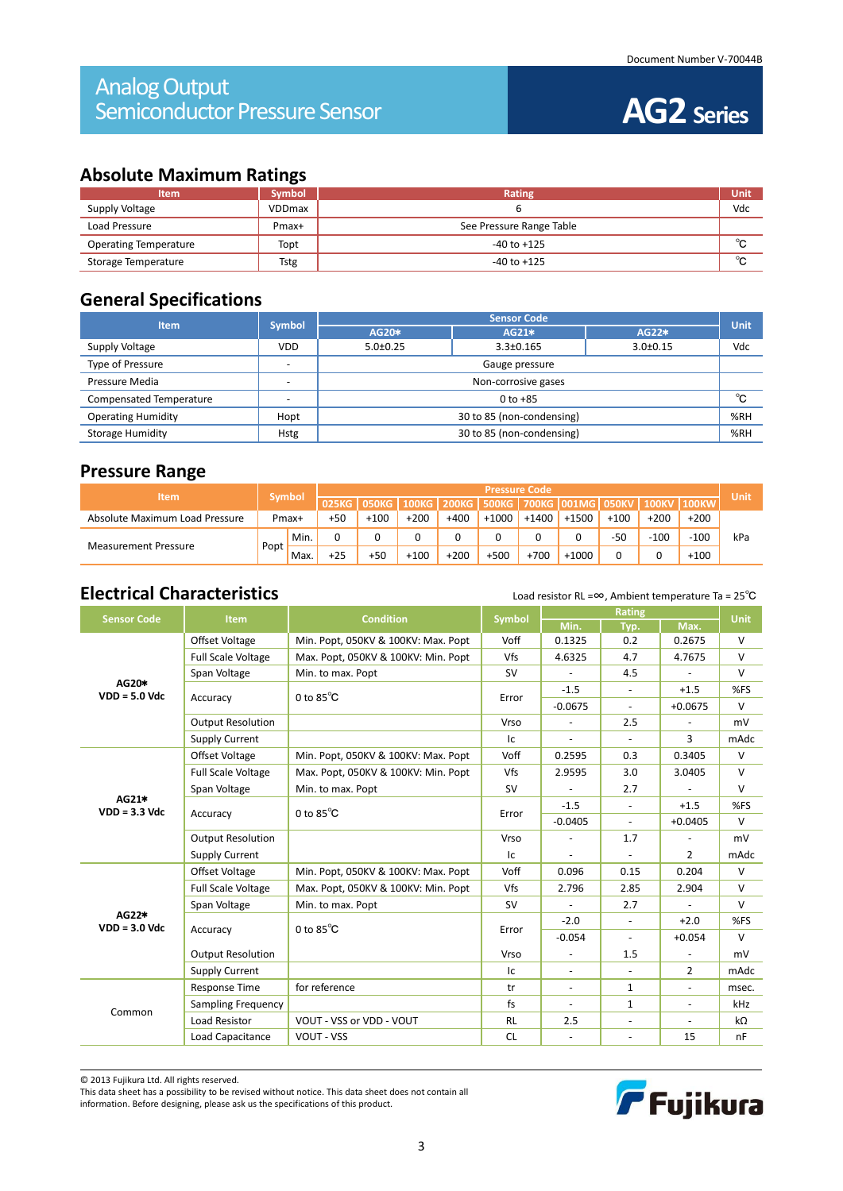## **Absolute Maximum Ratings**

| <b>Item</b>                  | <b>Symbol</b> | Rating                   |        |  |  |
|------------------------------|---------------|--------------------------|--------|--|--|
| Supply Voltage               | <b>VDDmax</b> |                          | Vdc    |  |  |
| Load Pressure                | Pmax+         | See Pressure Range Table |        |  |  |
| <b>Operating Temperature</b> | Topt          | -40 to +125              | $\sim$ |  |  |
| Storage Temperature          | <b>Tstg</b>   | $-40$ to $+125$          | $\sim$ |  |  |

#### **General Specifications**

| <b>Item</b>               | <b>Symbol</b>            | <b>Sensor Code</b>            |       |                |     |  |  |
|---------------------------|--------------------------|-------------------------------|-------|----------------|-----|--|--|
|                           |                          | AG20*                         | AG21* |                |     |  |  |
| Supply Voltage            | <b>VDD</b>               | $5.0+0.25$<br>$3.3 \pm 0.165$ |       | $3.0 \pm 0.15$ | Vdc |  |  |
| Type of Pressure          | $\overline{\phantom{0}}$ | Gauge pressure                |       |                |     |  |  |
| Pressure Media            | -                        | Non-corrosive gases           |       |                |     |  |  |
| Compensated Temperature   | $\sim$                   | $0$ to +85                    |       |                |     |  |  |
| <b>Operating Humidity</b> | Hopt                     | 30 to 85 (non-condensing)     |       |                |     |  |  |
| <b>Storage Humidity</b>   | Hstg                     | 30 to 85 (non-condensing)     |       |                |     |  |  |

#### **Pressure Range**

| <b>Item</b>                    |       |               | <b>Pressure Code</b> |                           |        |                       |         |         |                       |        |              |              |             |
|--------------------------------|-------|---------------|----------------------|---------------------------|--------|-----------------------|---------|---------|-----------------------|--------|--------------|--------------|-------------|
|                                |       | <b>Symbol</b> |                      | <b>1 050KG L</b><br>025KG |        | 100KG   200KG   500KG |         |         | ' 700KG  001MG  050KV |        | <b>100KV</b> | <b>100KW</b> | <b>Unit</b> |
| Absolute Maximum Load Pressure | Pmax+ |               | $+50$                | $+100$                    | $+200$ | +400                  | $+1000$ | $+1400$ | $+1500$               | $+100$ | $+200$       | $+200$       |             |
|                                | Popt. | Min.          |                      |                           |        |                       |         | 0       |                       | $-50$  | $-100$       | $-100$       | kPa         |
| <b>Measurement Pressure</b>    |       | Max.          | $+25$                | $+50$                     | $+100$ | $+200$                | $+500$  | $+700$  | $+1000$               |        |              | $+100$       |             |

## **Electrical Characteristics** Load resistor RL =∞, Ambient temperature Ta = 25<sup>°</sup>C

| <b>Sensor Code</b>                          | <b>Item</b>               | <b>Condition</b>                    | <b>Symbol</b> |                | <b>Unit</b>              |                          |            |
|---------------------------------------------|---------------------------|-------------------------------------|---------------|----------------|--------------------------|--------------------------|------------|
|                                             |                           |                                     |               | Min.           | Typ.                     | Max.                     |            |
|                                             | Offset Voltage            | Min. Popt, 050KV & 100KV: Max. Popt | Voff          | 0.1325         | 0.2                      | 0.2675                   | $\vee$     |
|                                             | <b>Full Scale Voltage</b> | Max. Popt, 050KV & 100KV: Min. Popt | Vfs           | 4.6325         | 4.7                      | 4.7675                   | $\vee$     |
|                                             | Span Voltage              | Min. to max. Popt                   | <b>SV</b>     |                | 4.5                      |                          | v          |
| AG20*<br>$VDD = 5.0$ Vdc                    |                           | 0 to $85^{\circ}$ C                 | Error         | $-1.5$         | $\overline{\phantom{a}}$ | $+1.5$                   | %FS        |
|                                             | Accuracy                  |                                     |               | $-0.0675$      | $\sim$                   | $+0.0675$                | $\vee$     |
|                                             | <b>Output Resolution</b>  |                                     | Vrso          |                | 2.5                      |                          | mV         |
|                                             | <b>Supply Current</b>     |                                     | Ic            | $\blacksquare$ | $\sim$                   | 3                        | mAdc       |
|                                             | Offset Voltage            | Min. Popt, 050KV & 100KV: Max. Popt | Voff          | 0.2595         | 0.3                      | 0.3405                   | $\vee$     |
|                                             | <b>Full Scale Voltage</b> | Max. Popt, 050KV & 100KV: Min. Popt | Vfs           | 2.9595         | 3.0                      | 3.0405                   | V          |
|                                             | Span Voltage              | Min. to max. Popt                   | <b>SV</b>     |                | 2.7                      |                          | $\vee$     |
| AG21*                                       |                           |                                     | Error         | $-1.5$         | $\sim$                   | $+1.5$                   | %FS        |
|                                             | Accuracy                  | 0 to $85^{\circ}$ C                 |               | $-0.0405$      | $\sim$                   | $+0.0405$                | $\vee$     |
|                                             | <b>Output Resolution</b>  |                                     | Vrso          |                | 1.7                      | $\overline{\phantom{a}}$ | mV         |
|                                             | <b>Supply Current</b>     |                                     | Ic            |                |                          | $\overline{2}$           | mAdc       |
| $VDD = 3.3$ Vdc<br>AG22*<br>$VDD = 3.0$ Vdc | Offset Voltage            | Min. Popt, 050KV & 100KV: Max. Popt | Voff          | 0.096          | 0.15                     | 0.204                    | $\vee$     |
|                                             | <b>Full Scale Voltage</b> | Max. Popt, 050KV & 100KV: Min. Popt | Vfs           | 2.796          | 2.85                     | 2.904                    | $\vee$     |
|                                             | Span Voltage              | Min. to max. Popt                   | <b>SV</b>     | $\blacksquare$ | 2.7                      | $\omega$                 | V          |
|                                             |                           | 0 to $85^{\circ}$ C                 |               | $-2.0$         | $\overline{\phantom{a}}$ | $+2.0$                   | %FS        |
|                                             | Accuracy                  |                                     | Error         | $-0.054$       | $\blacksquare$           | $+0.054$                 | V          |
|                                             | <b>Output Resolution</b>  |                                     | Vrso          | $\mathbb{L}$   | 1.5                      | $\blacksquare$           | mV         |
|                                             | <b>Supply Current</b>     |                                     | Ic            | $\blacksquare$ | $\blacksquare$           | $\overline{2}$           | mAdc       |
| Common                                      | <b>Response Time</b>      | for reference                       | tr            | $\omega$       | $\mathbf{1}$             | $\blacksquare$           | msec.      |
|                                             | Sampling Frequency        |                                     | fs            |                | $\mathbf{1}$             | $\overline{\phantom{a}}$ | <b>kHz</b> |
|                                             | Load Resistor             | VOUT - VSS or VDD - VOUT            | <b>RL</b>     | 2.5            |                          |                          | kΩ         |
|                                             | Load Capacitance          | <b>VOUT - VSS</b>                   | <b>CL</b>     | $\blacksquare$ | $\blacksquare$           | 15                       | nF         |

© 2013 Fujikura Ltd. All rights reserved.

This data sheet has a possibility to be revised without notice. This data sheet does not contain all information. Before designing, please ask us the specifications of this product.